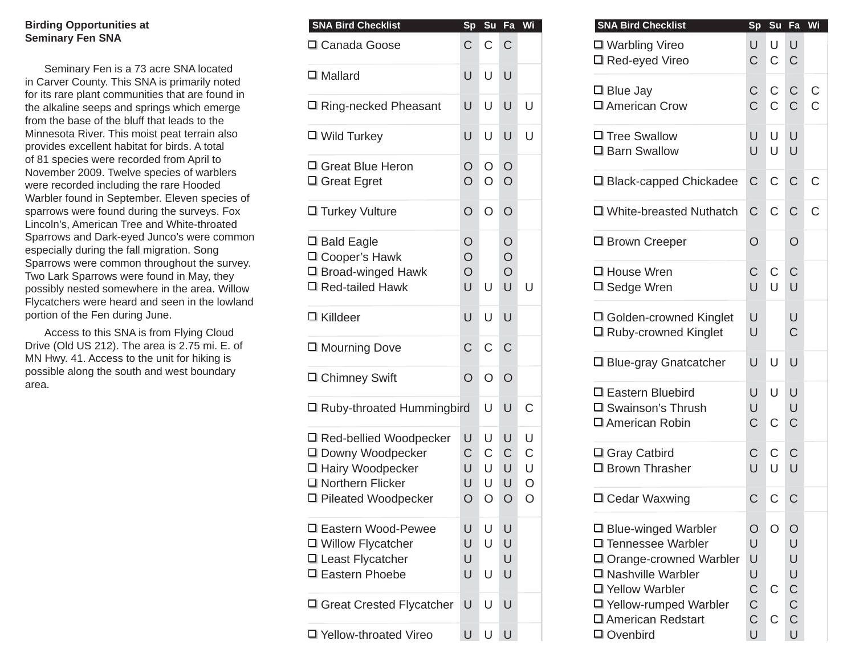## **Birding Opportunities at Seminary Fen SNA**

Seminary Fen is a 73 acre SNA located in Carver County. This SNA is primarily noted for its rare plant communities that are found in the alkaline seeps and springs which emerge from the base of the bluff that leads to the Minnesota River. This moist peat terrain also provides excellent habitat for birds. A total of 81 species were recorded from April to November 2009. Twelve species of warblers were recorded including the rare Hooded Warbler found in September. Eleven species of sparrows were found during the surveys. Fox Lincoln's, American Tree and White-throated Sparrows and Dark-eyed Junco's were common especially during the fall migration. Song Sparrows were common throughout the survey. Two Lark Sparrows were found in May, they possibly nested somewhere in the area. Willow Flycatchers were heard and seen in the lowland portion of the Fen during June.

Access to this SNA is from Flying Cloud Drive (Old US 212). The area is 2.75 mi. E. of MN Hwy. 41. Access to the unit for hiking is possible along the south and west boundary area.

| <b>SNA Bird Checklist</b>                                                                  | <b>Sp</b>                       |                            | Su Fa                                     | Wi                               | <b>SNA Bird Checklist</b>                                                                                                |                                 | Sp Su                   | Fa                              | W |
|--------------------------------------------------------------------------------------------|---------------------------------|----------------------------|-------------------------------------------|----------------------------------|--------------------------------------------------------------------------------------------------------------------------|---------------------------------|-------------------------|---------------------------------|---|
| □ Canada Goose                                                                             | $\mathsf{C}$                    | $\mathsf C$                | $\mathsf{C}$                              |                                  | □ Warbling Vireo<br>□ Red-eyed Vireo                                                                                     | U<br>$\mathsf C$                | U<br>$\mathbf C$        | U<br>$\mathsf C$                |   |
| $\Box$ Mallard                                                                             | U                               | U                          | $\cup$                                    |                                  | $\Box$ Blue Jay                                                                                                          | $\mathsf C$                     | $\mathsf C$             | $\mathsf C$                     | C |
| □ Ring-necked Pheasant                                                                     | U                               | U                          | $\cup$                                    | U                                | □ American Crow                                                                                                          | $\overline{C}$                  | $\mathsf C$             | $\mathsf C$                     | C |
| $\Box$ Wild Turkey                                                                         | U                               | U                          | $\cup$                                    | U                                | □ Tree Swallow<br>□ Barn Swallow                                                                                         | U<br>U                          | $\cup$<br>U             | U<br>U                          |   |
| 口 Great Blue Heron<br>$\Box$ Great Egret                                                   | $\circ$<br>$\overline{O}$       | $\circ$<br>$\circ$         | $\circ$<br>$\circ$                        |                                  | □ Black-capped Chickadee                                                                                                 | $\mathsf C$                     | $\mathsf C$             | $\mathsf C$                     | C |
| □ Turkey Vulture                                                                           | $\circ$                         | $\circ$                    | $\circ$                                   |                                  | □ White-breasted Nuthatch                                                                                                | $\mathsf{C}$                    | $\mathsf C$             | $\mathsf C$                     | C |
| □ Bald Eagle<br>□ Cooper's Hawk                                                            | $\circ$<br>$\circ$              |                            | $\circ$<br>$\bigcirc$                     |                                  | □ Brown Creeper                                                                                                          | $\circ$                         |                         | $\circ$                         |   |
| □ Broad-winged Hawk<br>$\Box$ Red-tailed Hawk                                              | $\circ$<br>U                    | U                          | $\overline{O}$<br>U                       | $\cup$                           | □ House Wren<br>□ Sedge Wren                                                                                             | $\mathsf C$<br>U                | $\mathsf C$<br>$\cup$   | $\mathsf C$<br>U                |   |
| □ Killdeer                                                                                 | U                               | U                          | $\cup$                                    |                                  | □ Golden-crowned Kinglet<br>□ Ruby-crowned Kinglet                                                                       | U<br>U                          |                         | U<br>C                          |   |
| □ Mourning Dove                                                                            | $\mathsf C$                     | $\mathsf C$                | $\mathsf{C}$                              |                                  |                                                                                                                          |                                 |                         |                                 |   |
| □ Chimney Swift                                                                            | $\circ$                         | $\circ$                    | $\circ$                                   |                                  | □ Blue-gray Gnatcatcher                                                                                                  | U                               | $\cup$                  | U                               |   |
| □ Ruby-throated Hummingbird                                                                |                                 | U                          | U                                         | $\mathsf C$                      | □ Eastern Bluebird<br>□ Swainson's Thrush<br>□ American Robin                                                            | U<br>U<br>C                     | $\cup$<br>$\mathsf C$   | U<br>U<br>$\mathsf C$           |   |
| □ Red-bellied Woodpecker<br>□ Downy Woodpecker<br>□ Hairy Woodpecker<br>□ Northern Flicker | $\cup$<br>$\mathsf C$<br>U<br>U | U<br>$\mathsf C$<br>U<br>U | $\cup$<br>$\mathsf C$<br>$\cup$<br>$\cup$ | U<br>$\mathsf C$<br>U<br>$\circ$ | □ Gray Catbird<br>$\Box$ Brown Thrasher                                                                                  | C<br>U                          | $\mathsf C$<br>U        | $\mathsf C$<br>U                |   |
| □ Pileated Woodpecker                                                                      | $\circ$                         | $\circ$                    | $\circ$                                   | $\circ$                          | □ Cedar Waxwing                                                                                                          | $\mathsf{C}$                    | $\mathbf C$             | $\mathsf C$                     |   |
| □ Eastern Wood-Pewee<br>□ Willow Flycatcher<br>□ Least Flycatcher<br>□ Eastern Phoebe      | U<br>U<br>U<br>U                | U<br>U<br>U                | $\cup$<br>$\cup$<br>U<br>$\cup$           |                                  | □ Blue-winged Warbler<br>□ Tennessee Warbler<br>□ Orange-crowned Warbler<br>$\Box$ Nashville Warbler<br>□ Yellow Warbler | O<br>U<br>U<br>U<br>$\mathsf C$ | $\circ$<br>$\mathsf{C}$ | O<br>U<br>U<br>U<br>$\mathsf C$ |   |
| □ Great Crested Flycatcher                                                                 | U                               | U                          | $\cup$                                    |                                  | □ Yellow-rumped Warbler<br>□ American Redstart                                                                           | $\mathsf C$<br>$\mathsf C$      | $\mathsf C$             | C<br>$\mathsf C$                |   |
| □ Yellow-throated Vireo                                                                    | U                               | U                          | $\cup$                                    |                                  | □ Ovenbird                                                                                                               | U                               |                         | U                               |   |

| SNA Bird Checklist                                                                                                                                                                  | Sp                                                                    | Su                  | Fa                                                                        | Wi     |
|-------------------------------------------------------------------------------------------------------------------------------------------------------------------------------------|-----------------------------------------------------------------------|---------------------|---------------------------------------------------------------------------|--------|
| □ Warbling Vireo<br>□ Red-eyed Vireo                                                                                                                                                | U<br>C                                                                | U<br>$\mathsf C$    | $\cup$<br>$\mathsf C$                                                     |        |
| $\square$ Blue Jay<br>□ American Crow                                                                                                                                               | C.<br>Ć                                                               | С<br>$\overline{C}$ | $\mathsf C$<br>$\overline{C}$                                             | C<br>Ć |
| □ Tree Swallow<br>□ Barn Swallow                                                                                                                                                    | U<br>U                                                                | U<br>U              | U<br>U                                                                    |        |
| □ Black-capped Chickadee                                                                                                                                                            | $\mathsf{C}$                                                          | $\mathsf C$         | C                                                                         | С      |
| □ White-breasted Nuthatch                                                                                                                                                           | $\mathsf C$                                                           | C                   | C                                                                         | Ċ      |
| □ Brown Creeper                                                                                                                                                                     | $\overline{O}$                                                        |                     | O                                                                         |        |
| □ House Wren<br>□ Sedge Wren                                                                                                                                                        | С<br>Ù                                                                | C<br>U              | C<br>U                                                                    |        |
| □ Golden-crowned Kinglet<br>□ Ruby-crowned Kinglet                                                                                                                                  | U<br>U                                                                |                     | U<br>C                                                                    |        |
| □ Blue-gray Gnatcatcher                                                                                                                                                             | U                                                                     | U                   | U                                                                         |        |
| □ Eastern Bluebird<br>□ Swainson's Thrush<br>□ American Robin                                                                                                                       | U<br>U<br>$\overline{C}$                                              | U<br>$\overline{C}$ | U<br>U<br>$\mathsf C$                                                     |        |
| □ Gray Catbird<br>口 Brown Thrasher                                                                                                                                                  | С<br>U                                                                | С<br>U              | C<br>U                                                                    |        |
| □ Cedar Waxwing                                                                                                                                                                     | Ć                                                                     | $\overline{C}$      | $\overline{C}$                                                            |        |
| □ Blue-winged Warbler<br>□ Tennessee Warbler<br>□ Orange-crowned Warbler<br>□ Nashville Warbler<br>□ Yellow Warbler<br>□ Yellow-rumped Warbler<br>□ American Redstart<br>□ Ovenbird | Ο<br>U<br>U<br>U<br>$\mathsf C$<br>$\overline{C}$<br>$\mathsf C$<br>Ù | O<br>C<br>С         | O<br>U<br>U<br>U<br>$\mathsf{C}$<br>$\overline{C}$<br>$\overline{C}$<br>Ù |        |